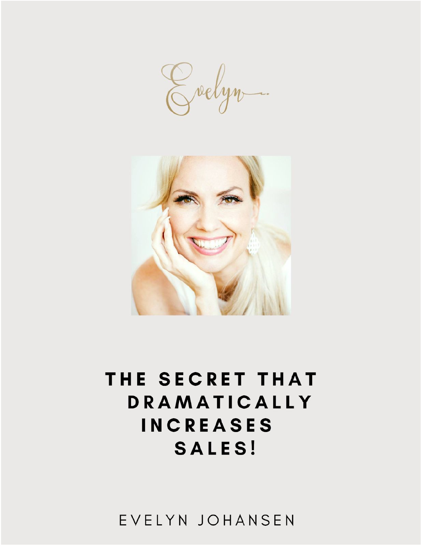Grelyn



# THE SECRET THAT DRAMATICALLY **INCREASES SALES!**

EVELYN JOHANSEN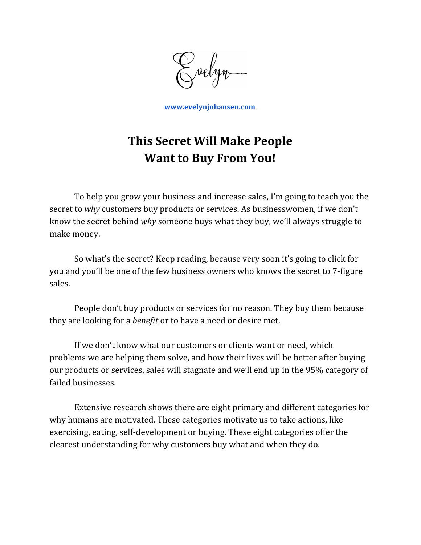velyn-

**[www.evelynjohansen.com](http://www.evelynjohansen.com/)**

# **This Secret Will Make People Want to Buy From You!**

To help you grow your business and increase sales, I'm going to teach you the secret to *why* customers buy products or services. As businesswomen, if we don't know the secret behind *why* someone buys what they buy, we'll always struggle to make money.

So what's the secret? Keep reading, because very soon it's going to click for you and you'll be one of the few business owners who knows the secret to 7-figure sales.

People don't buy products or services for no reason. They buy them because they are looking for a *benefit* or to have a need or desire met.

If we don't know what our customers or clients want or need, which problems we are helping them solve, and how their lives will be better after buying our products or services, sales will stagnate and we'll end up in the 95% category of failed businesses.

Extensive research shows there are eight primary and different categories for why humans are motivated. These categories motivate us to take actions, like exercising, eating, self-development or buying. These eight categories offer the clearest understanding for why customers buy what and when they do.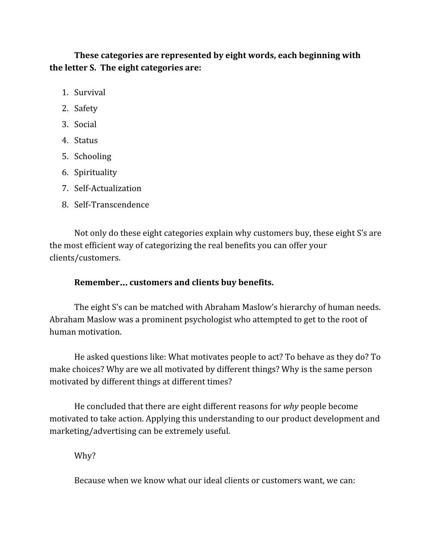**These categories are represented by eight words, each beginning with the letter S. The eight categories are:**

- 1. Survival
- 2. Safety
- 3. Social
- 4. Status
- 5. Schooling
- 6. Spirituality
- 7. Self-Actualization
- 8. Self-Transcendence

Not only do these eight categories explain why customers buy, these eight S's are the most efficient way of categorizing the real benefits you can offer your clients/customers.

# **Remember**… **customers and clients buy benefits.**

The eight S's can be matched with Abraham Maslow's hierarchy of human needs. Abraham Maslow was a prominent psychologist who attempted to get to the root of human motivation.

He asked questions like: What motivates people to act? To behave as they do? To make choices? Why are we all motivated by different things? Why is the same person motivated by different things at different times?

He concluded that there are eight different reasons for *why* people become motivated to take action. Applying this understanding to our product development and marketing/advertising can be extremely useful.

Why?

Because when we know what our ideal clients or customers want, we can: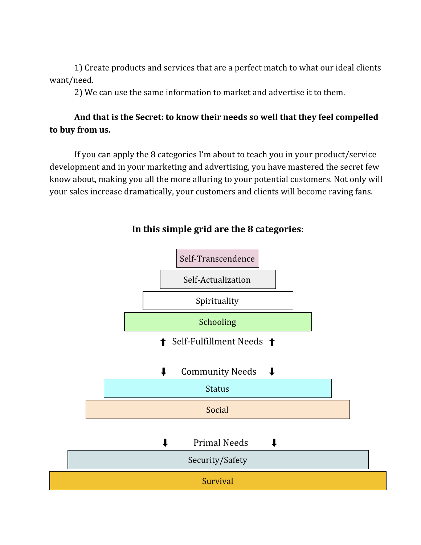1) Create products and services that are a perfect match to what our ideal clients want/need.

2) We can use the same information to market and advertise it to them.

# **And that is the Secret: to know their needs so well that they feel compelled to buy from us.**

If you can apply the 8 categories I'm about to teach you in your product/service development and in your marketing and advertising, you have mastered the secret few know about, making you all the more alluring to your potential customers. Not only will your sales increase dramatically, your customers and clients will become raving fans.



# **In this simple grid are the 8 categories:**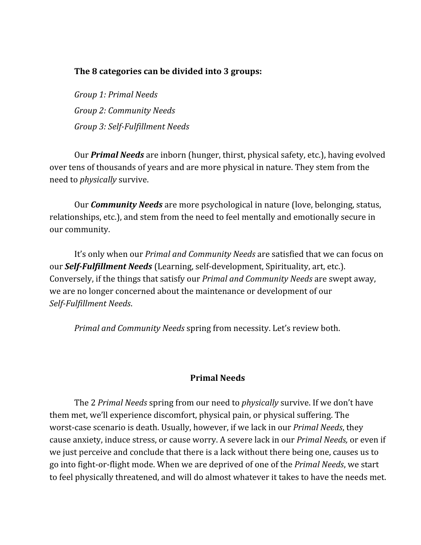#### **The 8 categories can be divided into 3 groups:**

*Group 1: Primal Needs Group 2: Community Needs Group 3: Self-Fulfillment Needs*

Our *Primal Needs* are inborn (hunger, thirst, physical safety, etc.), having evolved over tens of thousands of years and are more physical in nature. They stem from the need to *physically* survive.

Our *Community Needs* are more psychological in nature (love, belonging, status, relationships, etc.), and stem from the need to feel mentally and emotionally secure in our community.

It's only when our *Primal and Community Needs* are satisfied that we can focus on our *Self-Fulfillment Needs* (Learning, self-development, Spirituality, art, etc.). Conversely, if the things that satisfy our *Primal and Community Needs* are swept away, we are no longer concerned about the maintenance or development of our *Self-Fulfillment Needs*.

*Primal and Community Needs* spring from necessity. Let's review both.

#### **Primal Needs**

The 2 *Primal Needs* spring from our need to *physically* survive. If we don't have them met, we'll experience discomfort, physical pain, or physical suffering. The worst-case scenario is death. Usually, however, if we lack in our *Primal Needs*, they cause anxiety, induce stress, or cause worry. A severe lack in our *Primal Needs,* or even if we just perceive and conclude that there is a lack without there being one, causes us to go into fight-or-flight mode. When we are deprived of one of the *Primal Needs*, we start to feel physically threatened, and will do almost whatever it takes to have the needs met.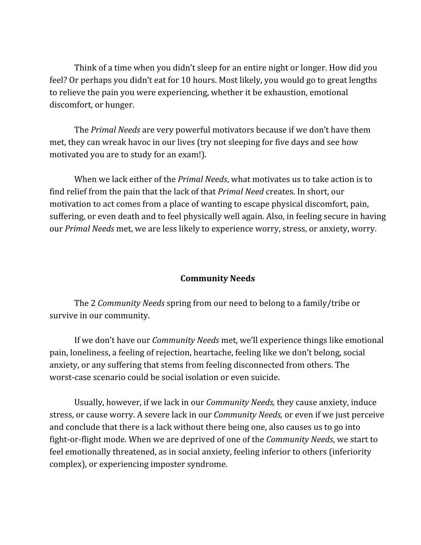Think of a time when you didn't sleep for an entire night or longer. How did you feel? Or perhaps you didn't eat for 10 hours. Most likely, you would go to great lengths to relieve the pain you were experiencing, whether it be exhaustion, emotional discomfort, or hunger.

The *Primal Needs* are very powerful motivators because if we don't have them met, they can wreak havoc in our lives (try not sleeping for five days and see how motivated you are to study for an exam!).

When we lack either of the *Primal Needs*, what motivates us to take action is to find relief from the pain that the lack of that *Primal Need* creates. In short, our motivation to act comes from a place of wanting to escape physical discomfort, pain, suffering, or even death and to feel physically well again. Also, in feeling secure in having our *Primal Needs* met, we are less likely to experience worry, stress, or anxiety, worry.

# **Community Needs**

The 2 *Community Needs* spring from our need to belong to a family/tribe or survive in our community.

If we don't have our *Community Needs* met, we'll experience things like emotional pain, loneliness, a feeling of rejection, heartache, feeling like we don't belong, social anxiety, or any suffering that stems from feeling disconnected from others. The worst-case scenario could be social isolation or even suicide.

Usually, however, if we lack in our *Community Needs,* they cause anxiety, induce stress, or cause worry. A severe lack in our *Community Needs,* or even if we just perceive and conclude that there is a lack without there being one, also causes us to go into fight-or-flight mode. When we are deprived of one of the *Community Needs*, we start to feel emotionally threatened, as in social anxiety, feeling inferior to others (inferiority complex), or experiencing imposter syndrome.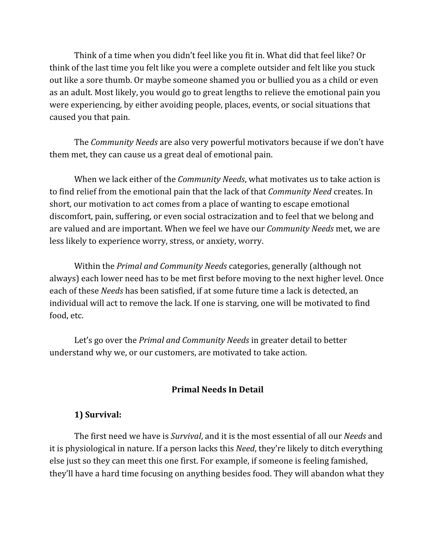Think of a time when you didn't feel like you fit in. What did that feel like? Or think of the last time you felt like you were a complete outsider and felt like you stuck out like a sore thumb. Or maybe someone shamed you or bullied you as a child or even as an adult. Most likely, you would go to great lengths to relieve the emotional pain you were experiencing, by either avoiding people, places, events, or social situations that caused you that pain.

The *Community Needs* are also very powerful motivators because if we don't have them met, they can cause us a great deal of emotional pain.

When we lack either of the *Community Needs*, what motivates us to take action is to find relief from the emotional pain that the lack of that *Community Need* creates. In short, our motivation to act comes from a place of wanting to escape emotional discomfort, pain, suffering, or even social ostracization and to feel that we belong and are valued and are important. When we feel we have our *Community Needs* met, we are less likely to experience worry, stress, or anxiety, worry.

Within the *Primal and Community Needs* categories, generally (although not always) each lower need has to be met first before moving to the next higher level. Once each of these *Needs* has been satisfied, if at some future time a lack is detected, an individual will act to remove the lack. If one is starving, one will be motivated to find food, etc.

Let's go over the *Primal and Community Needs* in greater detail to better understand why we, or our customers, are motivated to take action.

#### **Primal Needs In Detail**

#### **1) Survival:**

The first need we have is *Survival*, and it is the most essential of all our *Needs* and it is physiological in nature. If a person lacks this *Need*, they're likely to ditch everything else just so they can meet this one first. For example, if someone is feeling famished, they'll have a hard time focusing on anything besides food. They will abandon what they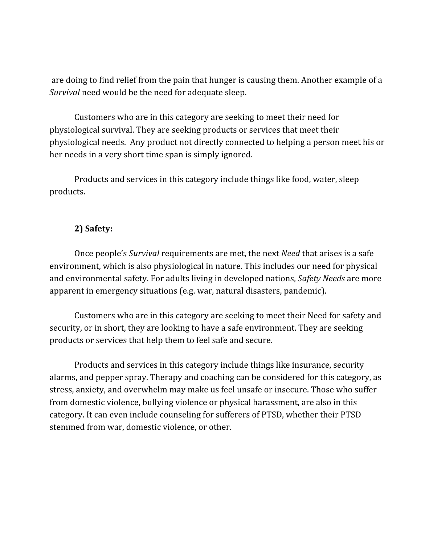are doing to find relief from the pain that hunger is causing them. Another example of a *Survival* need would be the need for adequate sleep.

Customers who are in this category are seeking to meet their need for physiological survival. They are seeking products or services that meet their physiological needs. Any product not directly connected to helping a person meet his or her needs in a very short time span is simply ignored.

Products and services in this category include things like food, water, sleep products.

#### **2) Safety:**

Once people's *Survival* requirements are met, the next *Need* that arises is a safe environment, which is also physiological in nature. This includes our need for physical and environmental safety. For adults living in developed nations, *Safety Needs* are more apparent in emergency situations (e.g. war, natural disasters, pandemic).

Customers who are in this category are seeking to meet their Need for safety and security, or in short, they are looking to have a safe environment. They are seeking products or services that help them to feel safe and secure.

Products and services in this category include things like insurance, security alarms, and pepper spray. Therapy and coaching can be considered for this category, as stress, anxiety, and overwhelm may make us feel unsafe or insecure. Those who suffer from domestic violence, bullying violence or physical harassment, are also in this category. It can even include counseling for sufferers of PTSD, whether their PTSD stemmed from war, domestic violence, or other.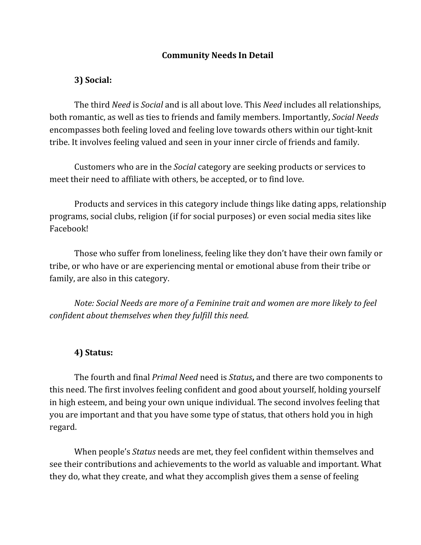#### **Community Needs In Detail**

#### **3) Social:**

The third *Need* is *Social* and is all about love. This *Need* includes all relationships, both romantic, as well as ties to friends and family members. Importantly, *Social Needs* encompasses both feeling loved and feeling love towards others within our tight-knit tribe. It involves feeling valued and seen in your inner circle of friends and family.

Customers who are in the *Social* category are seeking products or services to meet their need to affiliate with others, be accepted, or to find love.

Products and services in this category include things like dating apps, relationship programs, social clubs, religion (if for social purposes) or even social media sites like Facebook!

Those who suffer from loneliness, feeling like they don't have their own family or tribe, or who have or are experiencing mental or emotional abuse from their tribe or family, are also in this category.

*Note: Social Needs are more of a Feminine trait and women are more likely to feel confident about themselves when they fulfill this need.*

#### **4) Status:**

The fourth and final *Primal Need* need is *Status***,** and there are two components to this need. The first involves feeling confident and good about yourself, holding yourself in high esteem, and being your own unique individual. The second involves feeling that you are important and that you have some type of status, that others hold you in high regard.

When people's *Status* needs are met, they feel confident within themselves and see their contributions and achievements to the world as valuable and important. What they do, what they create, and what they accomplish gives them a sense of feeling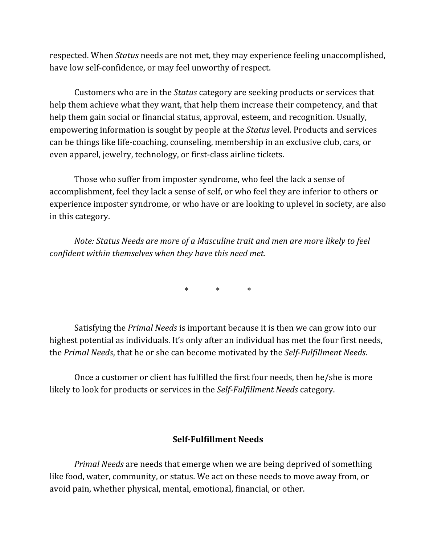respected. When *Status* needs are not met, they may experience feeling unaccomplished, have low self-confidence, or may feel unworthy of respect.

Customers who are in the *Status* category are seeking products or services that help them achieve what they want, that help them increase their competency, and that help them gain social or financial status, approval, esteem, and recognition. Usually, empowering information is sought by people at the *Status* level. Products and services can be things like life-coaching, counseling, membership in an exclusive club, cars, or even apparel, jewelry, technology, or first-class airline tickets.

Those who suffer from imposter syndrome, who feel the lack a sense of accomplishment, feel they lack a sense of self, or who feel they are inferior to others or experience imposter syndrome, or who have or are looking to uplevel in society, are also in this category.

*Note: Status Needs are more of a Masculine trait and men are more likely to feel confident within themselves when they have this need met.*

 $*$   $*$ 

Satisfying the *Primal Needs* is important because it is then we can grow into our highest potential as individuals. It's only after an individual has met the four first needs, the *Primal Needs*, that he or she can become motivated by the *Self-Fulfillment Needs*.

Once a customer or client has fulfilled the first four needs, then he/she is more likely to look for products or services in the *Self-Fulfillment Needs* category.

#### **Self-Fulfillment Needs**

*Primal Needs* are needs that emerge when we are being deprived of something like food, water, community, or status. We act on these needs to move away from, or avoid pain, whether physical, mental, emotional, financial, or other.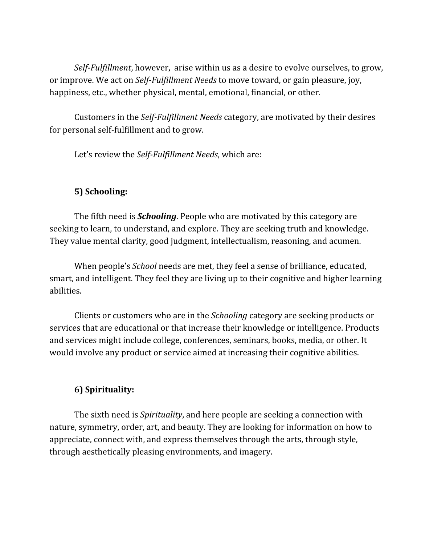*Self-Fulfillment*, however, arise within us as a desire to evolve ourselves, to grow, or improve. We act on *Self-Fulfillment Needs* to move toward, or gain pleasure, joy, happiness, etc., whether physical, mental, emotional, financial, or other.

Customers in the *Self-Fulfillment Needs* category, are motivated by their desires for personal self-fulfillment and to grow.

Let's review the *Self-Fulfillment Needs*, which are:

#### **5) Schooling:**

The fifth need is *Schooling*. People who are motivated by this category are seeking to learn, to understand, and explore. They are seeking truth and knowledge. They value mental clarity, good judgment, intellectualism, reasoning, and acumen.

When people's *School* needs are met, they feel a sense of brilliance, educated, smart, and intelligent. They feel they are living up to their cognitive and higher learning abilities.

Clients or customers who are in the *Schooling* category are seeking products or services that are educational or that increase their knowledge or intelligence. Products and services might include college, conferences, seminars, books, media, or other. It would involve any product or service aimed at increasing their cognitive abilities.

# **6) Spirituality:**

The sixth need is *Spirituality*, and here people are seeking a connection with nature, symmetry, order, art, and beauty. They are looking for information on how to appreciate, connect with, and express themselves through the arts, through style, through aesthetically pleasing environments, and imagery.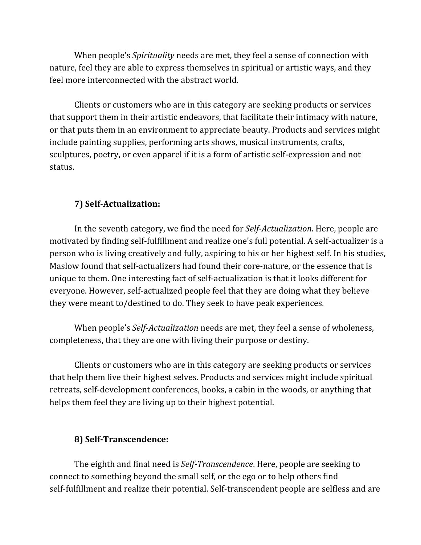When people's *Spirituality* needs are met, they feel a sense of connection with nature, feel they are able to express themselves in spiritual or artistic ways, and they feel more interconnected with the abstract world.

Clients or customers who are in this category are seeking products or services that support them in their artistic endeavors, that facilitate their intimacy with nature, or that puts them in an environment to appreciate beauty. Products and services might include painting supplies, performing arts shows, musical instruments, crafts, sculptures, poetry, or even apparel if it is a form of artistic self-expression and not status.

# **7) Self-Actualization:**

In the seventh category, we find the need for *Self-Actualization*. Here, people are motivated by finding self-fulfillment and realize one's full potential. A self-actualizer is a person who is living creatively and fully, aspiring to his or her highest self. In his studies, Maslow found that self-actualizers had found their core-nature, or the essence that is unique to them. One interesting fact of self-actualization is that it looks different for everyone. However, self-actualized people feel that they are doing what they believe they were meant to/destined to do. They seek to have peak experiences.

When people's *Self-Actualization* needs are met, they feel a sense of wholeness, completeness, that they are one with living their purpose or destiny.

Clients or customers who are in this category are seeking products or services that help them live their highest selves. Products and services might include spiritual retreats, self-development conferences, books, a cabin in the woods, or anything that helps them feel they are living up to their highest potential.

# **8) Self-Transcendence:**

The eighth and final need is *Self-Transcendence*. Here, people are seeking to connect to something beyond the small self, or the ego or to help others find self-fulfillment and realize their potential. Self-transcendent people are selfless and are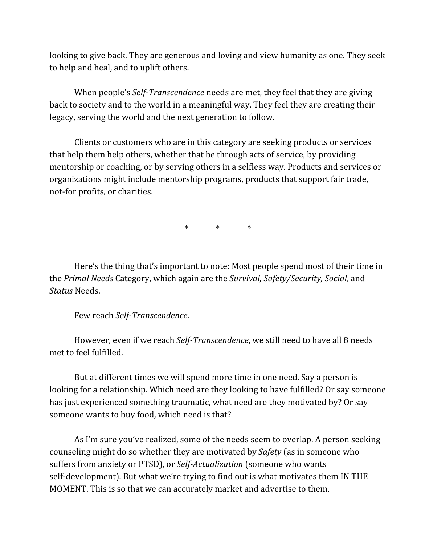looking to give back. They are generous and loving and view humanity as one. They seek to help and heal, and to uplift others.

When people's *Self-Transcendence* needs are met, they feel that they are giving back to society and to the world in a meaningful way. They feel they are creating their legacy, serving the world and the next generation to follow.

Clients or customers who are in this category are seeking products or services that help them help others, whether that be through acts of service, by providing mentorship or coaching, or by serving others in a selfless way. Products and services or organizations might include mentorship programs, products that support fair trade, not-for profits, or charities.

\* \* \*

Here's the thing that's important to note: Most people spend most of their time in the *Primal Needs* Category, which again are the *Survival, Safety/Security, Social*, and *Status* Needs.

Few reach *Self-Transcendence*.

However, even if we reach *Self-Transcendence*, we still need to have all 8 needs met to feel fulfilled.

But at different times we will spend more time in one need. Say a person is looking for a relationship. Which need are they looking to have fulfilled? Or say someone has just experienced something traumatic, what need are they motivated by? Or say someone wants to buy food, which need is that?

As I'm sure you've realized, some of the needs seem to overlap. A person seeking counseling might do so whether they are motivated by *Safety* (as in someone who suffers from anxiety or PTSD), or *Self-Actualization* (someone who wants self-development). But what we're trying to find out is what motivates them IN THE MOMENT. This is so that we can accurately market and advertise to them.